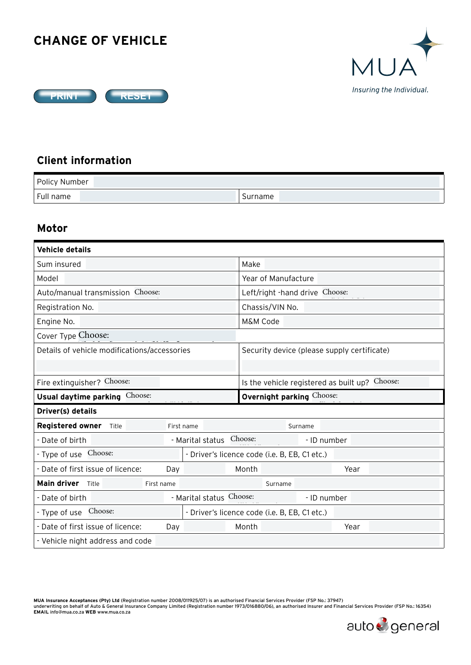## **CHANGE OF VEHICLE**





## **Client information**

| Policy Number |         |
|---------------|---------|
| Full<br>name  | Surname |

## **Motor**

| <b>Vehicle details</b>                       |                                               |                                                |  |  |  |  |
|----------------------------------------------|-----------------------------------------------|------------------------------------------------|--|--|--|--|
| Sum insured                                  |                                               | Make                                           |  |  |  |  |
| Model                                        |                                               | Year of Manufacture                            |  |  |  |  |
| Auto/manual transmission Choose:             |                                               | Left/right -hand drive Choose:                 |  |  |  |  |
| Registration No.                             |                                               | Chassis/VIN No.                                |  |  |  |  |
| Engine No.                                   |                                               | M&M Code                                       |  |  |  |  |
| Cover Type Choose:                           |                                               |                                                |  |  |  |  |
| Details of vehicle modifications/accessories |                                               | Security device (please supply certificate)    |  |  |  |  |
|                                              |                                               |                                                |  |  |  |  |
| Fire extinguisher? Choose:                   |                                               | Is the vehicle registered as built up? Choose: |  |  |  |  |
| Usual daytime parking Choose:                |                                               | <b>Overnight parking Choose:</b>               |  |  |  |  |
| Driver(s) details                            |                                               |                                                |  |  |  |  |
| Registered owner Title                       | First name                                    | Surname                                        |  |  |  |  |
| - Date of birth                              | - Marital status                              | Choose:<br>- ID number                         |  |  |  |  |
| - Type of use Choose:                        |                                               | - Driver's licence code (i.e. B, EB, C1 etc.)  |  |  |  |  |
| - Date of first issue of licence:            | Day                                           | Month<br>Year                                  |  |  |  |  |
| Main driver Title<br>First name              |                                               | Surname                                        |  |  |  |  |
| - Date of birth                              | - Marital status Choose:<br>- ID number       |                                                |  |  |  |  |
| Choose:<br>- Type of use                     | - Driver's licence code (i.e. B, EB, C1 etc.) |                                                |  |  |  |  |
| - Date of first issue of licence:            | Day                                           | Month<br>Year                                  |  |  |  |  |
| - Vehicle night address and code             |                                               |                                                |  |  |  |  |

**MUA Insurance Acceptances (Pty) Ltd** (Registration number 2008/011925/07) is an authorised Financial Services Provider (FSP No.: 37947) underwriting on behalf of Auto & General Insurance Company Limited (Registration number 1973/016880/06), an authorised Insurer and Financial Services Provider (FSP No.: 16354)<br>EMAIL info@mua.co.za WEB www.mua.co.za